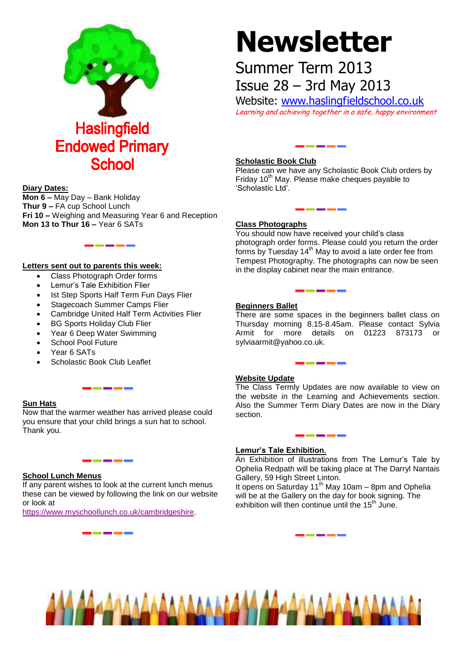

# **Diary Dates:**

**Mon 6 –** May Day – Bank Holiday **Thur 9 –** FA cup School Lunch **Fri 10 –** Weighing and Measuring Year 6 and Reception **Mon 13 to Thur 16 –** Year 6 SATs

# **Letters sent out to parents this week:**

- Class Photograph Order forms
- Lemur's Tale Exhibition Flier
- Ist Step Sports Half Term Fun Days Flier
- Stagecoach Summer Camps Flier
- Cambridge United Half Term Activities Flier
- BG Sports Holiday Club Flier
- Year 6 Deep Water Swimming
- School Pool Future
- Year 6 SATs
- Scholastic Book Club Leaflet

# **Sun Hats**

Now that the warmer weather has arrived please could you ensure that your child brings a sun hat to school. Thank you.

-----

# **School Lunch Menus**

If any parent wishes to look at the current lunch menus these can be viewed by following the link on our website or look at

[https://www.myschoollunch.co.uk/cambridgeshire.](https://www.myschoollunch.co.uk/cambridgeshire)

-----

# **Newsletter**

# Summer Term 2013 Issue 28 – 3rd May 2013

Website: [www.haslingfieldschool.co.uk](http://www.haslingfieldschool.co.uk/) Learning and achieving together in a safe, happy environment

#### **Scholastic Book Club**

Please can we have any Scholastic Book Club orders by Friday  $10<sup>th</sup>$  May. Please make cheques payable to 'Scholastic Ltd'.

<u>i and and and an</u>

#### **Class Photographs**

You should now have received your child's class photograph order forms. Please could you return the order forms by Tuesday 14th May to avoid a late order fee from Tempest Photography. The photographs can now be seen in the display cabinet near the main entrance.

#### **Beginners Ballet**

There are some spaces in the beginners ballet class on Thursday morning 8.15-8.45am. Please contact Sylvia Armit for more details on 01223 873173 or sylviaarmit@yahoo.co.uk.

<u>and the same starting of the same starting of the same starting of the same starting of the same starting of the same starting starting starting starting starting starting starting starting starting starting starting star</u>

#### **Website Update**

The Class Termly Updates are now available to view on the website in the Learning and Achievements section. Also the Summer Term Diary Dates are now in the Diary section.

#### **Lemur's Tale Exhibition.**

An Exhibition of illustrations from The Lemur's Tale by Ophelia Redpath will be taking place at The Darryl Nantais Gallery, 59 High Street Linton.

It opens on Saturday 11<sup>th</sup> May 10am – 8pm and Ophelia will be at the Gallery on the day for book signing. The exhibition will then continue until the  $15<sup>th</sup>$  June.